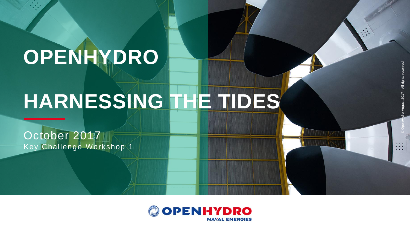# **OPENHYDRO**

# **HARNESSING THE TIDES**

October 2017 Key Challenge Workshop 1

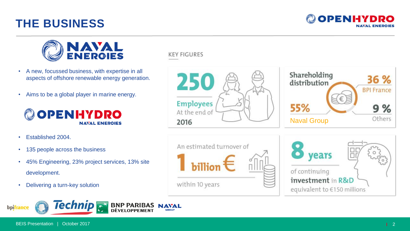## **THE BUSINESS**





- A new, focussed business, with expertise in all aspects of offshore renewable energy generation.
- Aims to be a global player in marine energy.



- Established 2004.
- 135 people across the business
- 45% Engineering, 23% project services, 13% site development.
- Delivering a turn-key solution



**KEY FIGURES** 

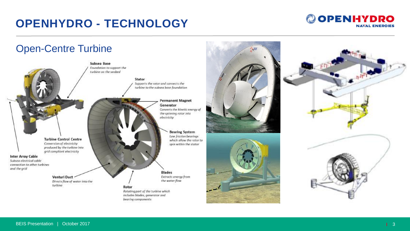## **OPENHYDRO - TECHNOLOGY**

#### **@OPENHYDRO NAVAL ENERGIES**

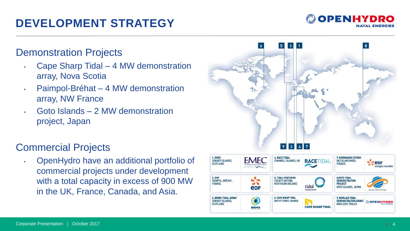## **DEVELOPMENT STRATEGY**

#### Demonstration Projects

- Cape Sharp Tidal 4 MW demonstration array, Nova Scotia
- Paimpol -Bréhat 4 MW demonstration array, NW France
- Goto Islands 2 MW demonstration project, Japan

#### Commercial Projects

• OpenHydro have an additional portfolio of commercial projects under development with a total capacity in excess of 900 MW in the UK, France, Canada, and Asia.



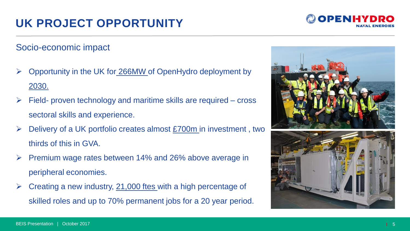## **UK PROJECT OPPORTUNITY**

Socio-economic impact

- Opportunity in the UK for 266MW of OpenHydro deployment by 2030.
- $\triangleright$  Field- proven technology and maritime skills are required cross sectoral skills and experience.
- Delivery of a UK portfolio creates almost £700m in investment , two thirds of this in GVA.
- Premium wage rates between 14% and 26% above average in peripheral economies.
- $\triangleright$  Creating a new industry, 21,000 ftes with a high percentage of skilled roles and up to 70% permanent jobs for a 20 year period.



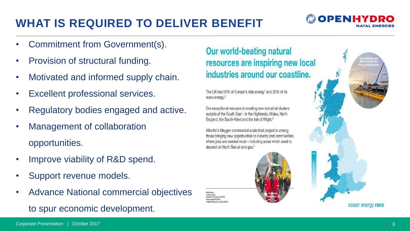## **WHAT IS REQUIRED TO DELIVER BENEFIT**

- Commitment from Government(s).
- Provision of structural funding.
- Motivated and informed supply chain.
- Excellent professional services.
- Regulatory bodies engaged and active.
- Management of collaboration opportunities.
- Improve viability of R&D spend.
- Support revenue models.
- Advance National commercial objectives to spur economic development.

**Our world-beating natural** resources are inspiring new local industries around our coastline.

The UK has 50% of Europe's tidal energy<sup>1</sup> and 35% of its wave energy.<sup>2</sup>

Our exceptional resource is creating new industrial clusters outside of the South East - in the Highlands, Wales, North England, the South-West and the Isle of Wight.<sup>3</sup>

Atlantis's Meygen commercial-scale tidal project is among those bringing new opportunities to industry and communities where jobs are needed most - including areas which used to depend on North Sea oil and gas.<sup>4</sup>

DECC ONLY Renewalked BC (2014)





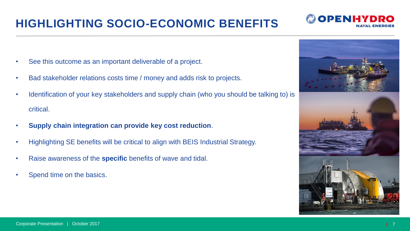## **HIGHLIGHTING SOCIO-ECONOMIC BENEFITS**

- See this outcome as an important deliverable of a project.
- Bad stakeholder relations costs time / money and adds risk to projects.
- Identification of your key stakeholders and supply chain (who you should be talking to) is critical.
- **Supply chain integration can provide key cost reduction**.
- Highlighting SE benefits will be critical to align with BEIS Industrial Strategy.
- Raise awareness of the **specific** benefits of wave and tidal.
- Spend time on the basics.



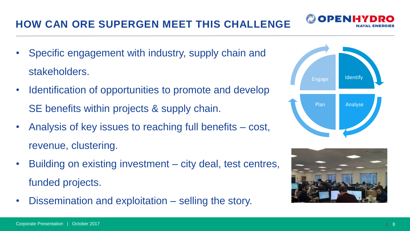### **HOW CAN ORE SUPERGEN MEET THIS CHALLENGE**

- Specific engagement with industry, supply chain and stakeholders.
- Identification of opportunities to promote and develop SE benefits within projects & supply chain.
- Analysis of key issues to reaching full benefits cost, revenue, clustering.
- Building on existing investment city deal, test centres, funded projects.
- Dissemination and exploitation selling the story.